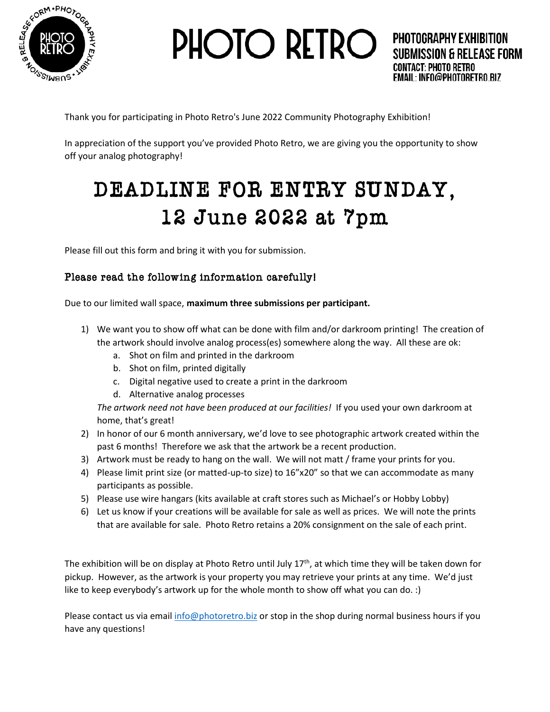

**PHOTO RETRO** 

Thank you for participating in Photo Retro's June 2022 Community Photography Exhibition!

In appreciation of the support you've provided Photo Retro, we are giving you the opportunity to show off your analog photography!

## DEADLINE FOR ENTRY SUNDAY, 12 June 2022 at 7pm

Please fill out this form and bring it with you for submission.

## Please read the following information carefully!

Due to our limited wall space, **maximum three submissions per participant.** 

- 1) We want you to show off what can be done with film and/or darkroom printing! The creation of the artwork should involve analog process(es) somewhere along the way. All these are ok:
	- a. Shot on film and printed in the darkroom
	- b. Shot on film, printed digitally
	- c. Digital negative used to create a print in the darkroom
	- d. Alternative analog processes

*The artwork need not have been produced at our facilities!* If you used your own darkroom at home, that's great!

- 2) In honor of our 6 month anniversary, we'd love to see photographic artwork created within the past 6 months! Therefore we ask that the artwork be a recent production.
- 3) Artwork must be ready to hang on the wall. We will not matt / frame your prints for you.
- 4) Please limit print size (or matted-up-to size) to 16"x20" so that we can accommodate as many participants as possible.
- 5) Please use wire hangars (kits available at craft stores such as Michael's or Hobby Lobby)
- 6) Let us know if your creations will be available for sale as well as prices. We will note the prints that are available for sale. Photo Retro retains a 20% consignment on the sale of each print.

The exhibition will be on display at Photo Retro until July  $17<sup>th</sup>$ , at which time they will be taken down for pickup. However, as the artwork is your property you may retrieve your prints at any time. We'd just like to keep everybody's artwork up for the whole month to show off what you can do. :)

Please contact us via email [info@photoretro.biz](mailto:info@photoretro.biz) or stop in the shop during normal business hours if you have any questions!